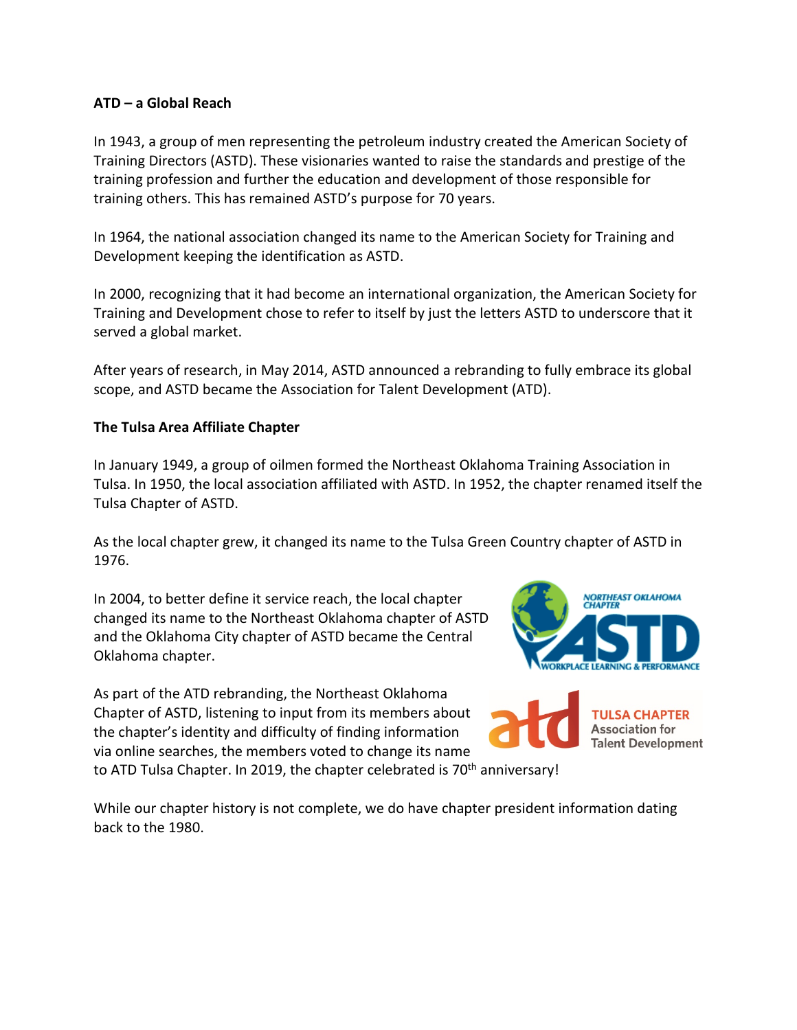## **ATD – a Global Reach**

In 1943, a group of men representing the petroleum industry created the American Society of Training Directors (ASTD). These visionaries wanted to raise the standards and prestige of the training profession and further the education and development of those responsible for training others. This has remained ASTD's purpose for 70 years.

In 1964, the national association changed its name to the American Society for Training and Development keeping the identification as ASTD.

In 2000, recognizing that it had become an international organization, the American Society for Training and Development chose to refer to itself by just the letters ASTD to underscore that it served a global market.

After years of research, in May 2014, ASTD announced a rebranding to fully embrace its global scope, and ASTD became the Association for Talent Development (ATD).

## **The Tulsa Area Affiliate Chapter**

In January 1949, a group of oilmen formed the Northeast Oklahoma Training Association in Tulsa. In 1950, the local association affiliated with ASTD. In 1952, the chapter renamed itself the Tulsa Chapter of ASTD.

As the local chapter grew, it changed its name to the Tulsa Green Country chapter of ASTD in 1976.

In 2004, to better define it service reach, the local chapter changed its name to the Northeast Oklahoma chapter of ASTD and the Oklahoma City chapter of ASTD became the Central Oklahoma chapter.

As part of the ATD rebranding, the Northeast Oklahoma Chapter of ASTD, listening to input from its members about the chapter's identity and difficulty of finding information via online searches, the members voted to change its name to ATD Tulsa Chapter. In 2019, the chapter celebrated is 70<sup>th</sup> anniversary!



**Association for Talent Development** 

While our chapter history is not complete, we do have chapter president information dating back to the 1980.